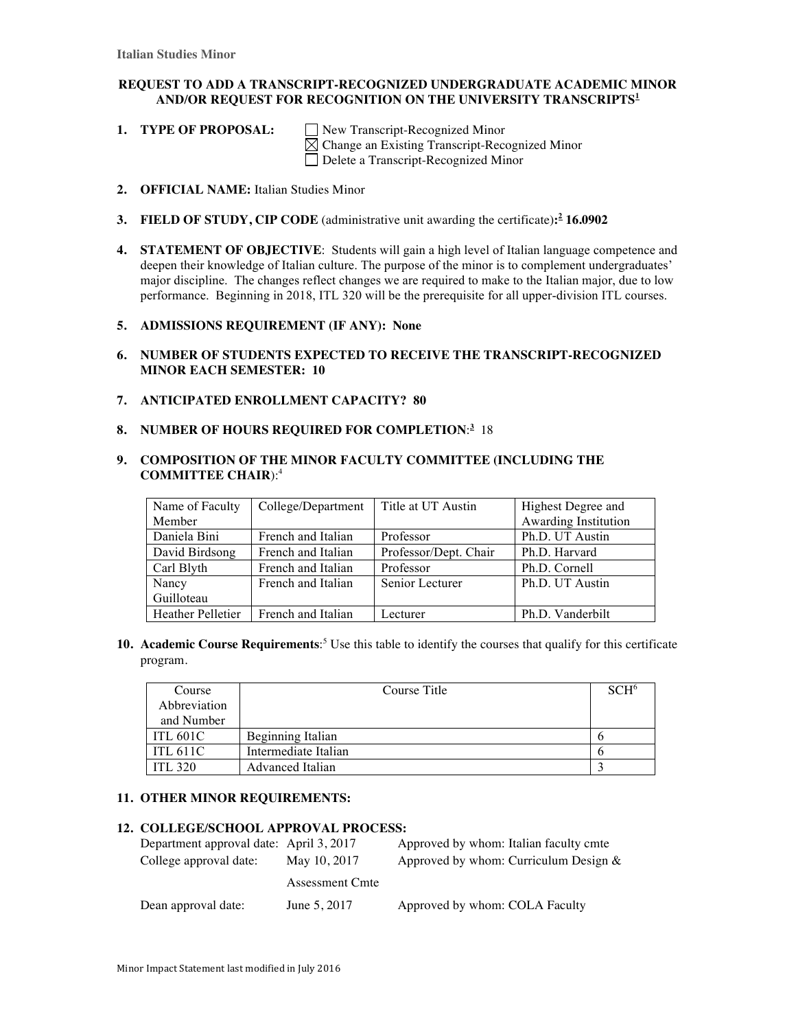## **REQUEST TO ADD A TRANSCRIPT-RECOGNIZED UNDERGRADUATE ACADEMIC MINOR AND/OR REQUEST FOR RECOGNITION ON THE UNIVERSITY TRANSCRIPTS<sup>1</sup>**

1. **TYPE OF PROPOSAL:** New Transcript-Recognized Minor Change an Existing Transcript-Recognized Minor Delete a Transcript-Recognized Minor

- **2. OFFICIAL NAME:** Italian Studies Minor
- **3. FIELD OF STUDY, CIP CODE** (administrative unit awarding the certificate)**: <sup>2</sup> 16.0902**
- **4. STATEMENT OF OBJECTIVE**: Students will gain a high level of Italian language competence and deepen their knowledge of Italian culture. The purpose of the minor is to complement undergraduates' major discipline. The changes reflect changes we are required to make to the Italian major, due to low performance. Beginning in 2018, ITL 320 will be the prerequisite for all upper-division ITL courses.

#### **5. ADMISSIONS REQUIREMENT (IF ANY): None**

- **6. NUMBER OF STUDENTS EXPECTED TO RECEIVE THE TRANSCRIPT-RECOGNIZED MINOR EACH SEMESTER: 10**
- **7. ANTICIPATED ENROLLMENT CAPACITY? 80**
- **8. NUMBER OF HOURS REQUIRED FOR COMPLETION**: **3** 18

### **9. COMPOSITION OF THE MINOR FACULTY COMMITTEE (INCLUDING THE COMMITTEE CHAIR**):4

| Name of Faculty   | College/Department | Title at UT Austin    | Highest Degree and   |
|-------------------|--------------------|-----------------------|----------------------|
| Member            |                    |                       | Awarding Institution |
| Daniela Bini      | French and Italian | Professor             | Ph.D. UT Austin      |
| David Birdsong    | French and Italian | Professor/Dept. Chair | Ph.D. Harvard        |
| Carl Blyth        | French and Italian | Professor             | Ph.D. Cornell        |
| Nancy             | French and Italian | Senior Lecturer       | Ph.D. UT Austin      |
| Guilloteau        |                    |                       |                      |
| Heather Pelletier | French and Italian | Lecturer              | Ph.D. Vanderbilt     |

**10. Academic Course Requirements**: <sup>5</sup> Use this table to identify the courses that qualify for this certificate program.

| Course          | Course Title            | SCH <sup>6</sup> |
|-----------------|-------------------------|------------------|
| Abbreviation    |                         |                  |
| and Number      |                         |                  |
| ITL 601C        | Beginning Italian       |                  |
| <b>ITL 611C</b> | Intermediate Italian    |                  |
| <b>ITL 320</b>  | <b>Advanced Italian</b> |                  |

#### **11. OTHER MINOR REQUIREMENTS:**

#### **12. COLLEGE/SCHOOL APPROVAL PROCESS:**

| Department approval date: April 3, 2017 |                 | Approved by whom: Italian faculty cmte   |
|-----------------------------------------|-----------------|------------------------------------------|
| College approval date:                  | May 10, 2017    | Approved by whom: Curriculum Design $\&$ |
|                                         | Assessment Cmte |                                          |
| Dean approval date:                     | June 5, 2017    | Approved by whom: COLA Faculty           |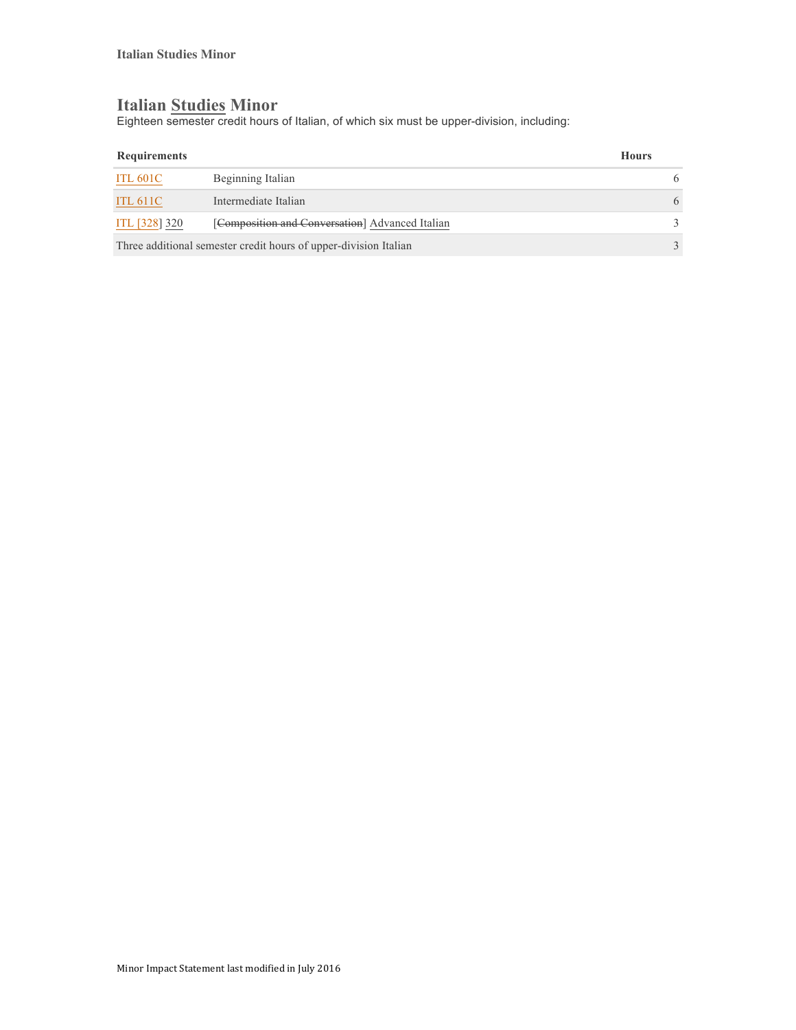# **Italian Studies Minor**

Eighteen semester credit hours of Italian, of which six must be upper-division, including:

| Requirements                                                     |                                                 | <b>Hours</b> |   |
|------------------------------------------------------------------|-------------------------------------------------|--------------|---|
| ITL 601C                                                         | Beginning Italian                               |              | 6 |
| <b>ITL 611C</b>                                                  | Intermediate Italian                            |              | 6 |
| ITL [328] 320                                                    | [Composition and Conversation] Advanced Italian |              |   |
| Three additional semester credit hours of upper-division Italian |                                                 |              |   |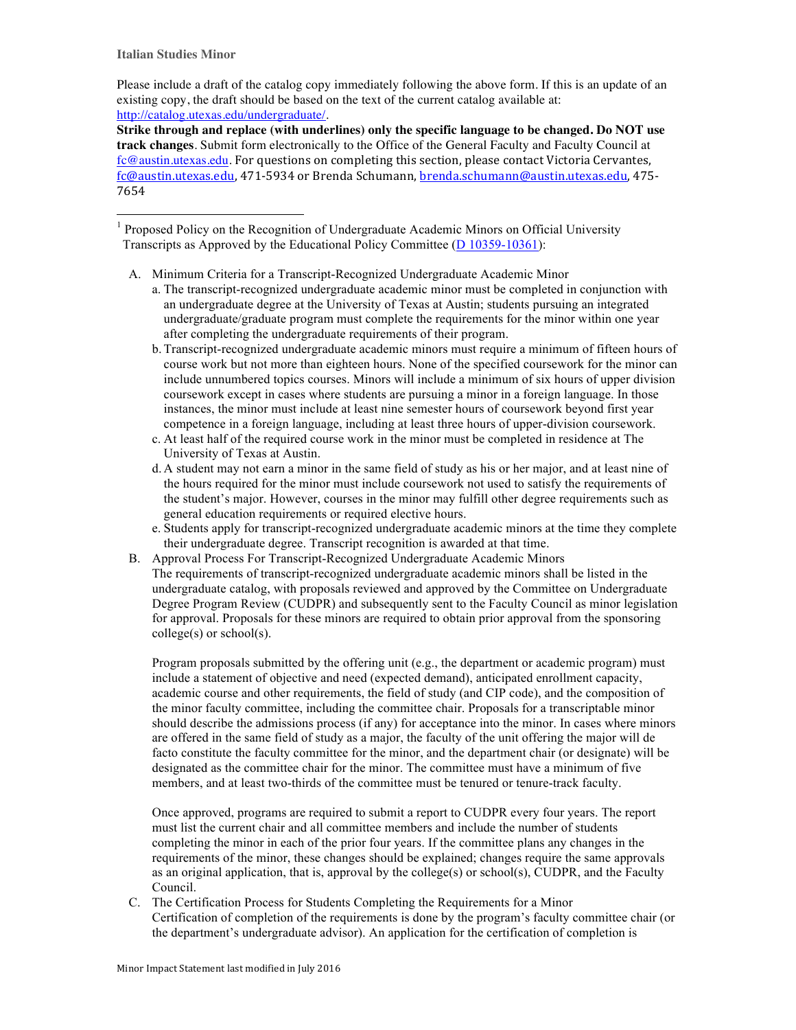**Italian Studies Minor**

Please include a draft of the catalog copy immediately following the above form. If this is an update of an existing copy, the draft should be based on the text of the current catalog available at: http://catalog.utexas.edu/undergraduate/.

**Strike through and replace (with underlines) only the specific language to be changed. Do NOT use track changes**. Submit form electronically to the Office of the General Faculty and Faculty Council at fc@austin.utexas.edu. For questions on completing this section, please contact Victoria Cervantes, fc@austin.utexas.edu, 471-5934 or Brenda Schumann, brenda.schumann@austin.utexas.edu, 475-7654

<sup>1</sup> Proposed Policy on the Recognition of Undergraduate Academic Minors on Official University Transcripts as Approved by the Educational Policy Committee (D 10359-10361):

A. Minimum Criteria for a Transcript-Recognized Undergraduate Academic Minor

- a. The transcript-recognized undergraduate academic minor must be completed in conjunction with an undergraduate degree at the University of Texas at Austin; students pursuing an integrated undergraduate/graduate program must complete the requirements for the minor within one year after completing the undergraduate requirements of their program.
- b. Transcript-recognized undergraduate academic minors must require a minimum of fifteen hours of course work but not more than eighteen hours. None of the specified coursework for the minor can include unnumbered topics courses. Minors will include a minimum of six hours of upper division coursework except in cases where students are pursuing a minor in a foreign language. In those instances, the minor must include at least nine semester hours of coursework beyond first year competence in a foreign language, including at least three hours of upper-division coursework.
- c. At least half of the required course work in the minor must be completed in residence at The University of Texas at Austin.
- d. A student may not earn a minor in the same field of study as his or her major, and at least nine of the hours required for the minor must include coursework not used to satisfy the requirements of the student's major. However, courses in the minor may fulfill other degree requirements such as general education requirements or required elective hours.
- e. Students apply for transcript-recognized undergraduate academic minors at the time they complete their undergraduate degree. Transcript recognition is awarded at that time.
- B. Approval Process For Transcript-Recognized Undergraduate Academic Minors The requirements of transcript-recognized undergraduate academic minors shall be listed in the undergraduate catalog, with proposals reviewed and approved by the Committee on Undergraduate Degree Program Review (CUDPR) and subsequently sent to the Faculty Council as minor legislation for approval. Proposals for these minors are required to obtain prior approval from the sponsoring college(s) or school(s).

Program proposals submitted by the offering unit (e.g., the department or academic program) must include a statement of objective and need (expected demand), anticipated enrollment capacity, academic course and other requirements, the field of study (and CIP code), and the composition of the minor faculty committee, including the committee chair. Proposals for a transcriptable minor should describe the admissions process (if any) for acceptance into the minor. In cases where minors are offered in the same field of study as a major, the faculty of the unit offering the major will de facto constitute the faculty committee for the minor, and the department chair (or designate) will be designated as the committee chair for the minor. The committee must have a minimum of five members, and at least two-thirds of the committee must be tenured or tenure-track faculty.

Once approved, programs are required to submit a report to CUDPR every four years. The report must list the current chair and all committee members and include the number of students completing the minor in each of the prior four years. If the committee plans any changes in the requirements of the minor, these changes should be explained; changes require the same approvals as an original application, that is, approval by the college(s) or school(s), CUDPR, and the Faculty Council.

C. The Certification Process for Students Completing the Requirements for a Minor Certification of completion of the requirements is done by the program's faculty committee chair (or the department's undergraduate advisor). An application for the certification of completion is